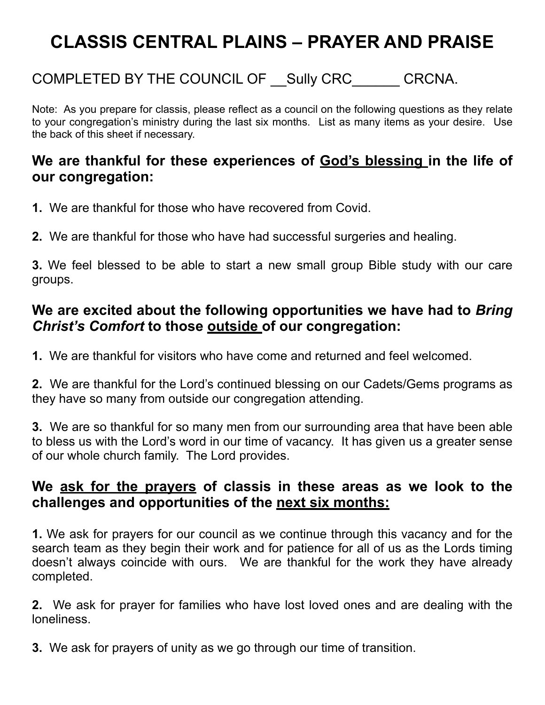### COMPLETED BY THE COUNCIL OF Sully CRC CRCNA.

Note: As you prepare for classis, please reflect as a council on the following questions as they relate to your congregation's ministry during the last six months. List as many items as your desire. Use the back of this sheet if necessary.

#### **We are thankful for these experiences of God's blessing in the life of our congregation:**

- **1.** We are thankful for those who have recovered from Covid.
- **2.** We are thankful for those who have had successful surgeries and healing.

**3.** We feel blessed to be able to start a new small group Bible study with our care groups.

#### **We are excited about the following opportunities we have had to** *Bring Christ's Comfort* **to those outside of our congregation:**

**1.** We are thankful for visitors who have come and returned and feel welcomed.

**2.** We are thankful for the Lord's continued blessing on our Cadets/Gems programs as they have so many from outside our congregation attending.

**3.** We are so thankful for so many men from our surrounding area that have been able to bless us with the Lord's word in our time of vacancy. It has given us a greater sense of our whole church family. The Lord provides.

#### **We ask for the prayers of classis in these areas as we look to the challenges and opportunities of the next six months:**

**1.** We ask for prayers for our council as we continue through this vacancy and for the search team as they begin their work and for patience for all of us as the Lords timing doesn't always coincide with ours. We are thankful for the work they have already completed.

**2.** We ask for prayer for families who have lost loved ones and are dealing with the loneliness.

**3.** We ask for prayers of unity as we go through our time of transition.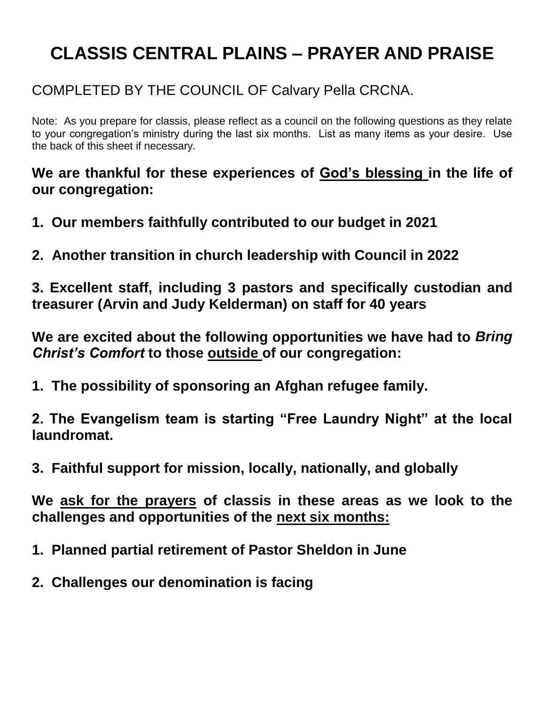### COMPLETED BY THE COUNCIL OF Calvary Pella CRCNA.

Note: As you prepare for classis, please reflect as a council on the following questions as they relate to your congregation's ministry during the last six months. List as many items as your desire. Use the back of this sheet if necessary.

**We are thankful for these experiences of God's blessing in the life of our congregation:**

- **1. Our members faithfully contributed to our budget in 2021**
- **2. Another transition in church leadership with Council in 2022**

**3. Excellent staff, including 3 pastors and specifically custodian and treasurer (Arvin and Judy Kelderman) on staff for 40 years**

**We are excited about the following opportunities we have had to** *Bring Christ's Comfort* **to those outside of our congregation:**

**1. The possibility of sponsoring an Afghan refugee family.**

**2. The Evangelism team is starting "Free Laundry Night" at the local laundromat.**

**3. Faithful support for mission, locally, nationally, and globally**

- **1. Planned partial retirement of Pastor Sheldon in June**
- **2. Challenges our denomination is facing**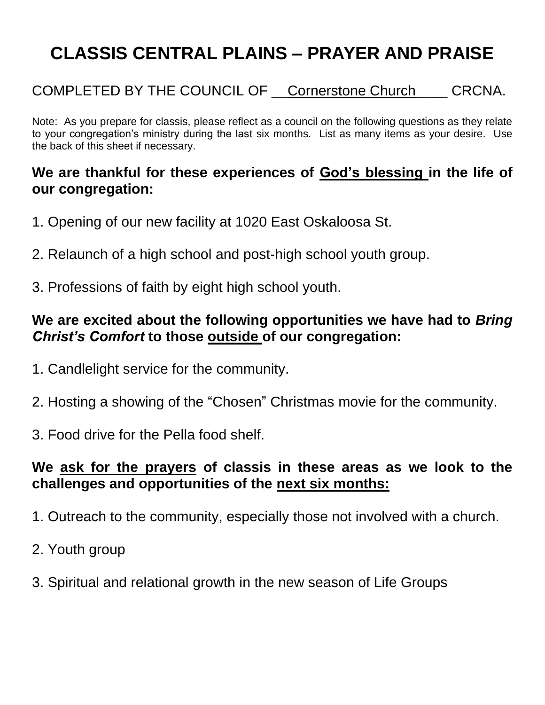#### COMPLETED BY THE COUNCIL OF Cornerstone Church CRCNA.

Note: As you prepare for classis, please reflect as a council on the following questions as they relate to your congregation's ministry during the last six months. List as many items as your desire. Use the back of this sheet if necessary.

#### **We are thankful for these experiences of God's blessing in the life of our congregation:**

- 1. Opening of our new facility at 1020 East Oskaloosa St.
- 2. Relaunch of a high school and post-high school youth group.
- 3. Professions of faith by eight high school youth.

#### **We are excited about the following opportunities we have had to** *Bring Christ's Comfort* **to those outside of our congregation:**

- 1. Candlelight service for the community.
- 2. Hosting a showing of the "Chosen" Christmas movie for the community.
- 3. Food drive for the Pella food shelf.

- 1. Outreach to the community, especially those not involved with a church.
- 2. Youth group
- 3. Spiritual and relational growth in the new season of Life Groups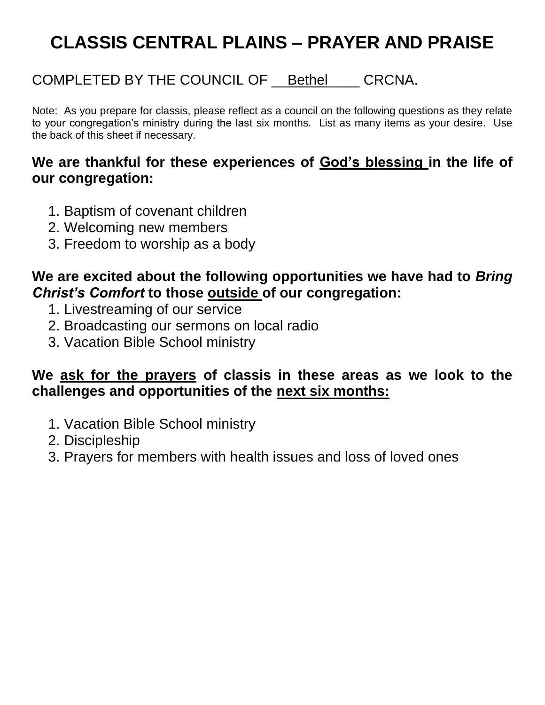### COMPLETED BY THE COUNCIL OF Bethel CRCNA.

Note: As you prepare for classis, please reflect as a council on the following questions as they relate to your congregation's ministry during the last six months. List as many items as your desire. Use the back of this sheet if necessary.

#### **We are thankful for these experiences of God's blessing in the life of our congregation:**

- 1. Baptism of covenant children
- 2. Welcoming new members
- 3. Freedom to worship as a body

### **We are excited about the following opportunities we have had to** *Bring Christ's Comfort* **to those outside of our congregation:**

- 1. Livestreaming of our service
- 2. Broadcasting our sermons on local radio
- 3. Vacation Bible School ministry

- 1. Vacation Bible School ministry
- 2. Discipleship
- 3. Prayers for members with health issues and loss of loved ones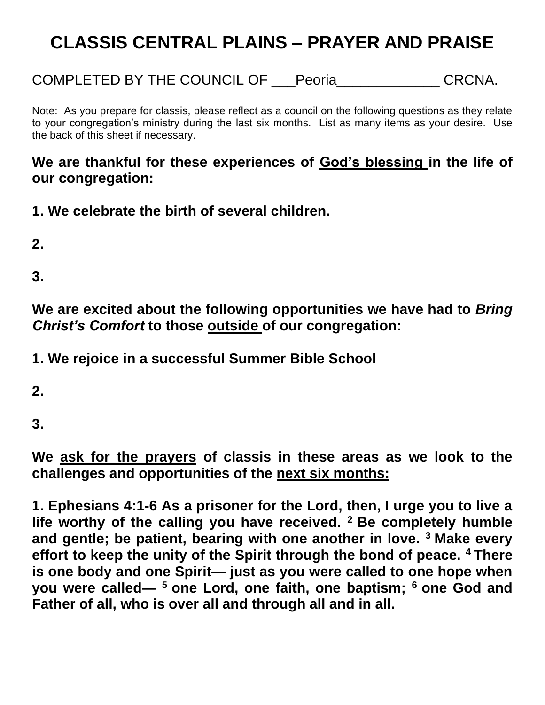COMPLETED BY THE COUNCIL OF \_\_\_Peoria\_\_\_\_\_\_\_\_\_\_\_\_\_ CRCNA.

Note: As you prepare for classis, please reflect as a council on the following questions as they relate to your congregation's ministry during the last six months. List as many items as your desire. Use the back of this sheet if necessary.

#### **We are thankful for these experiences of God's blessing in the life of our congregation:**

**1. We celebrate the birth of several children.**

**2.**

**3.**

**We are excited about the following opportunities we have had to** *Bring Christ's Comfort* **to those outside of our congregation:**

**1. We rejoice in a successful Summer Bible School**

**2.**

**3.**

**We ask for the prayers of classis in these areas as we look to the challenges and opportunities of the next six months:**

**1. Ephesians 4:1-6 As a prisoner for the Lord, then, I urge you to live a life worthy of the calling you have received. <sup>2</sup>Be completely humble and gentle; be patient, bearing with one another in love. <sup>3</sup>Make every effort to keep the unity of the Spirit through the bond of peace. <sup>4</sup>There is one body and one Spirit— just as you were called to one hope when you were called— <sup>5</sup>one Lord, one faith, one baptism; <sup>6</sup>one God and Father of all, who is over all and through all and in all.**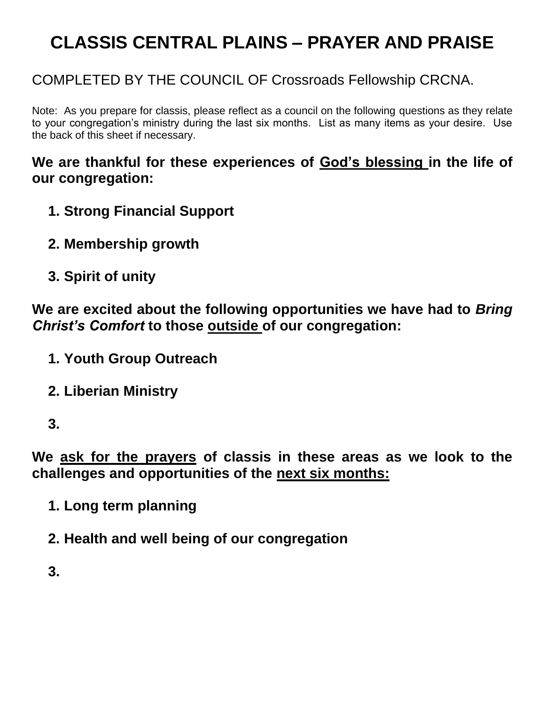### COMPLETED BY THE COUNCIL OF Crossroads Fellowship CRCNA.

Note: As you prepare for classis, please reflect as a council on the following questions as they relate to your congregation's ministry during the last six months. List as many items as your desire. Use the back of this sheet if necessary.

#### **We are thankful for these experiences of God's blessing in the life of our congregation:**

- **1. Strong Financial Support**
- **2. Membership growth**
- **3. Spirit of unity**

**We are excited about the following opportunities we have had to** *Bring Christ's Comfort* **to those outside of our congregation:**

- **1. Youth Group Outreach**
- **2. Liberian Ministry**
- **3.**

**We ask for the prayers of classis in these areas as we look to the challenges and opportunities of the next six months:**

- **1. Long term planning**
- **2. Health and well being of our congregation**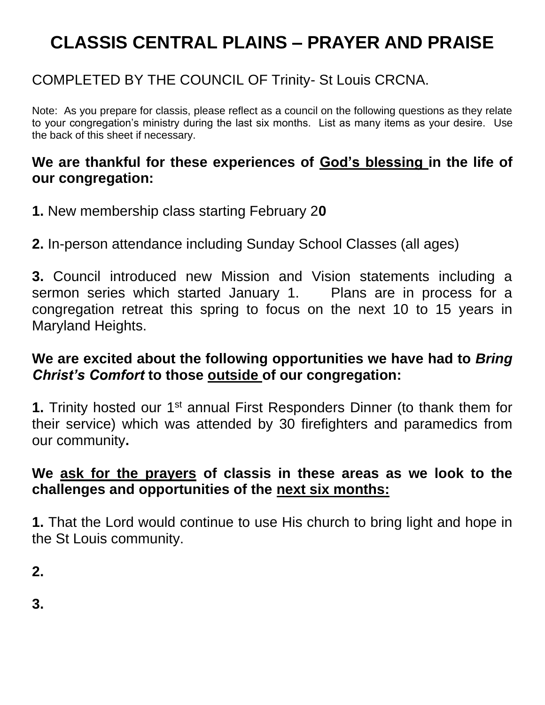### COMPLETED BY THE COUNCIL OF Trinity- St Louis CRCNA.

Note: As you prepare for classis, please reflect as a council on the following questions as they relate to your congregation's ministry during the last six months. List as many items as your desire. Use the back of this sheet if necessary.

#### **We are thankful for these experiences of God's blessing in the life of our congregation:**

- **1.** New membership class starting February 2**0**
- **2.** In-person attendance including Sunday School Classes (all ages)

**3.** Council introduced new Mission and Vision statements including a sermon series which started January 1. Plans are in process for a congregation retreat this spring to focus on the next 10 to 15 years in Maryland Heights.

### **We are excited about the following opportunities we have had to** *Bring Christ's Comfort* **to those outside of our congregation:**

**1.** Trinity hosted our 1<sup>st</sup> annual First Responders Dinner (to thank them for their service) which was attended by 30 firefighters and paramedics from our community**.** 

### **We ask for the prayers of classis in these areas as we look to the challenges and opportunities of the next six months:**

**1.** That the Lord would continue to use His church to bring light and hope in the St Louis community.

**2.**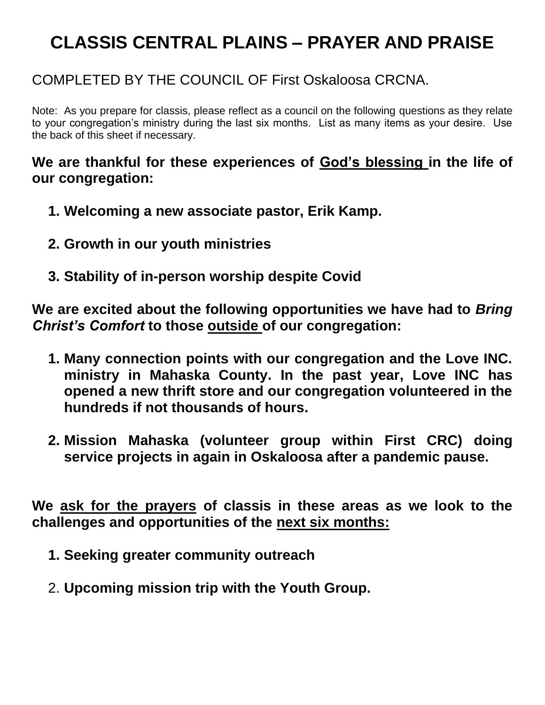### COMPLETED BY THE COUNCIL OF First Oskaloosa CRCNA.

Note: As you prepare for classis, please reflect as a council on the following questions as they relate to your congregation's ministry during the last six months. List as many items as your desire. Use the back of this sheet if necessary.

**We are thankful for these experiences of God's blessing in the life of our congregation:**

- **1. Welcoming a new associate pastor, Erik Kamp.**
- **2. Growth in our youth ministries**
- **3. Stability of in-person worship despite Covid**

**We are excited about the following opportunities we have had to** *Bring Christ's Comfort* **to those outside of our congregation:**

- **1. Many connection points with our congregation and the Love INC. ministry in Mahaska County. In the past year, Love INC has opened a new thrift store and our congregation volunteered in the hundreds if not thousands of hours.**
- **2. Mission Mahaska (volunteer group within First CRC) doing service projects in again in Oskaloosa after a pandemic pause.**

- **1. Seeking greater community outreach**
- 2. **Upcoming mission trip with the Youth Group.**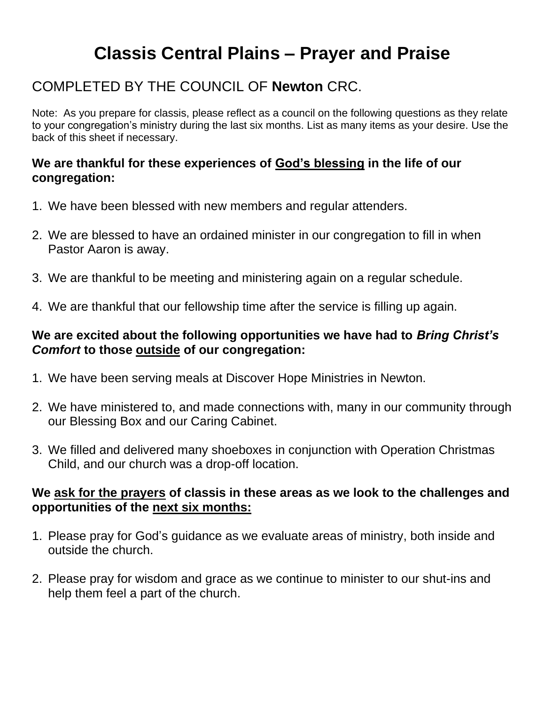## **Classis Central Plains – Prayer and Praise**

### COMPLETED BY THE COUNCIL OF **Newton** CRC.

Note: As you prepare for classis, please reflect as a council on the following questions as they relate to your congregation's ministry during the last six months. List as many items as your desire. Use the back of this sheet if necessary.

#### **We are thankful for these experiences of God's blessing in the life of our congregation:**

- 1. We have been blessed with new members and regular attenders.
- 2. We are blessed to have an ordained minister in our congregation to fill in when Pastor Aaron is away.
- 3. We are thankful to be meeting and ministering again on a regular schedule.
- 4. We are thankful that our fellowship time after the service is filling up again.

#### **We are excited about the following opportunities we have had to** *Bring Christ's Comfort* **to those outside of our congregation:**

- 1. We have been serving meals at Discover Hope Ministries in Newton.
- 2. We have ministered to, and made connections with, many in our community through our Blessing Box and our Caring Cabinet.
- 3. We filled and delivered many shoeboxes in conjunction with Operation Christmas Child, and our church was a drop-off location.

- 1. Please pray for God's guidance as we evaluate areas of ministry, both inside and outside the church.
- 2. Please pray for wisdom and grace as we continue to minister to our shut-ins and help them feel a part of the church.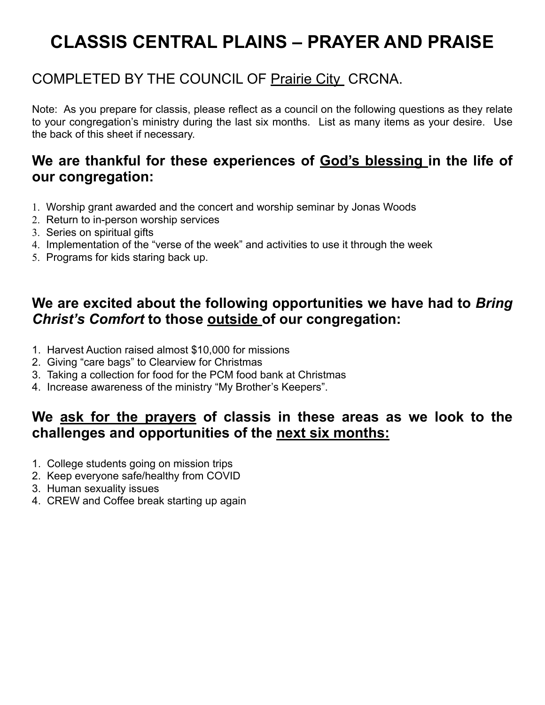### COMPLETED BY THE COUNCIL OF Prairie City CRCNA.

Note: As you prepare for classis, please reflect as a council on the following questions as they relate to your congregation's ministry during the last six months. List as many items as your desire. Use the back of this sheet if necessary.

#### **We are thankful for these experiences of God's blessing in the life of our congregation:**

- 1. Worship grant awarded and the concert and worship seminar by Jonas Woods
- 2. Return to in-person worship services
- 3. Series on spiritual gifts
- 4. Implementation of the "verse of the week" and activities to use it through the week
- 5. Programs for kids staring back up.

#### **We are excited about the following opportunities we have had to** *Bring Christ's Comfort* **to those outside of our congregation:**

- 1. Harvest Auction raised almost \$10,000 for missions
- 2. Giving "care bags" to Clearview for Christmas
- 3. Taking a collection for food for the PCM food bank at Christmas
- 4. Increase awareness of the ministry "My Brother's Keepers".

- 1. College students going on mission trips
- 2. Keep everyone safe/healthy from COVID
- 3. Human sexuality issues
- 4. CREW and Coffee break starting up again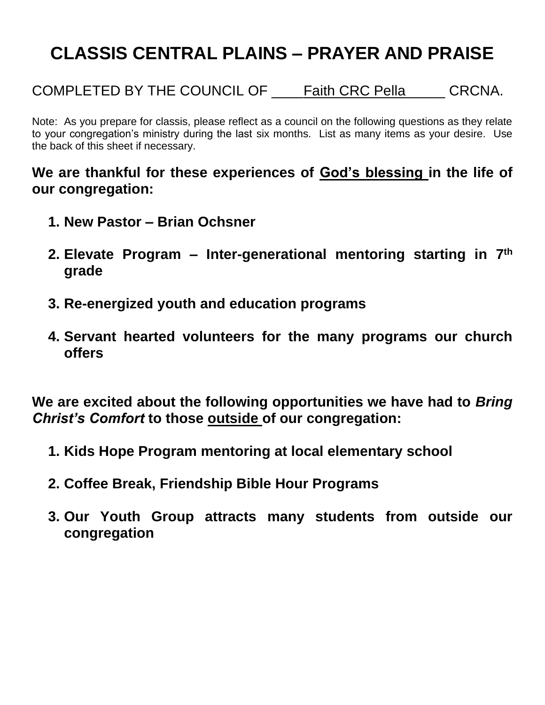COMPLETED BY THE COUNCIL OF \_\_\_\_Faith CRC Pella\_\_\_\_\_ CRCNA.

Note: As you prepare for classis, please reflect as a council on the following questions as they relate to your congregation's ministry during the last six months. List as many items as your desire. Use the back of this sheet if necessary.

**We are thankful for these experiences of God's blessing in the life of our congregation:**

- **1. New Pastor – Brian Ochsner**
- **2. Elevate Program – Inter-generational mentoring starting in 7th grade**
- **3. Re-energized youth and education programs**
- **4. Servant hearted volunteers for the many programs our church offers**

**We are excited about the following opportunities we have had to** *Bring Christ's Comfort* **to those outside of our congregation:**

- **1. Kids Hope Program mentoring at local elementary school**
- **2. Coffee Break, Friendship Bible Hour Programs**
- **3. Our Youth Group attracts many students from outside our congregation**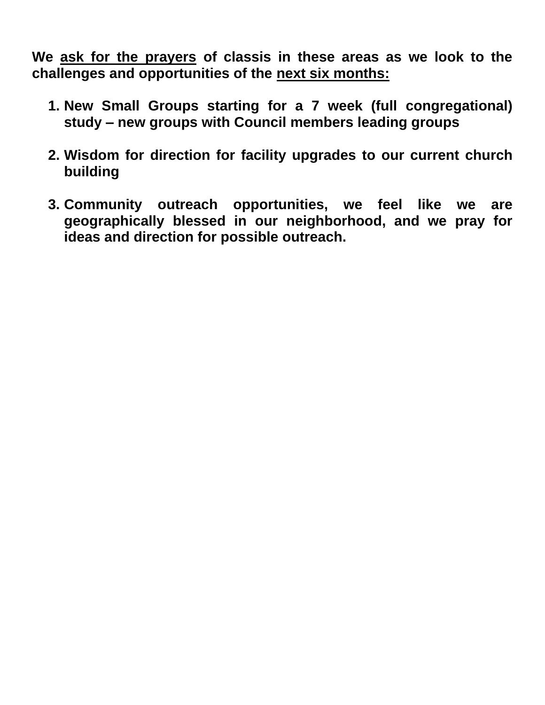- **1. New Small Groups starting for a 7 week (full congregational) study – new groups with Council members leading groups**
- **2. Wisdom for direction for facility upgrades to our current church building**
- **3. Community outreach opportunities, we feel like we are geographically blessed in our neighborhood, and we pray for ideas and direction for possible outreach.**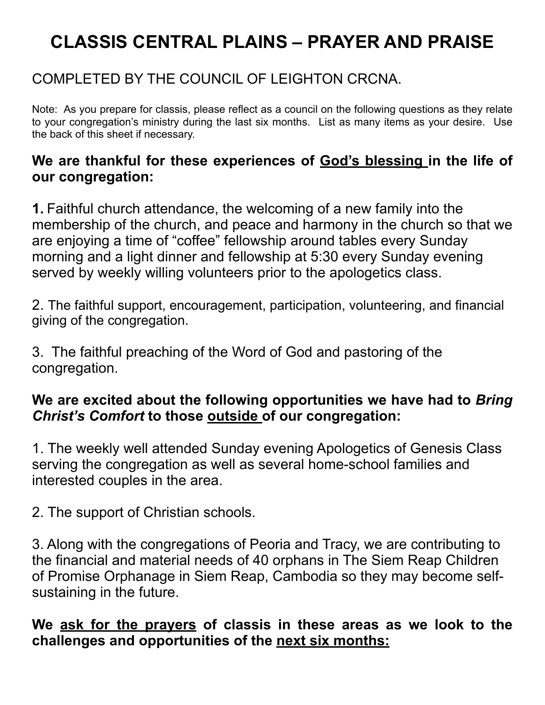### COMPLETED BY THE COUNCIL OF LEIGHTON CRCNA.

Note: As you prepare for classis, please reflect as a council on the following questions as they relate to your congregation's ministry during the last six months. List as many items as your desire. Use the back of this sheet if necessary.

#### **We are thankful for these experiences of God's blessing in the life of our congregation:**

**1.** Faithful church attendance, the welcoming of a new family into the membership of the church, and peace and harmony in the church so that we are enjoying a time of "coffee" fellowship around tables every Sunday morning and a light dinner and fellowship at 5:30 every Sunday evening served by weekly willing volunteers prior to the apologetics class.

2. The faithful support, encouragement, participation, volunteering, and financial giving of the congregation.

3. The faithful preaching of the Word of God and pastoring of the congregation.

### **We are excited about the following opportunities we have had to** *Bring Christ's Comfort* **to those outside of our congregation:**

1. The weekly well attended Sunday evening Apologetics of Genesis Class serving the congregation as well as several home-school families and interested couples in the area.

2. The support of Christian schools.

3. Along with the congregations of Peoria and Tracy, we are contributing to the financial and material needs of 40 orphans in The Siem Reap Children of Promise Orphanage in Siem Reap, Cambodia so they may become selfsustaining in the future.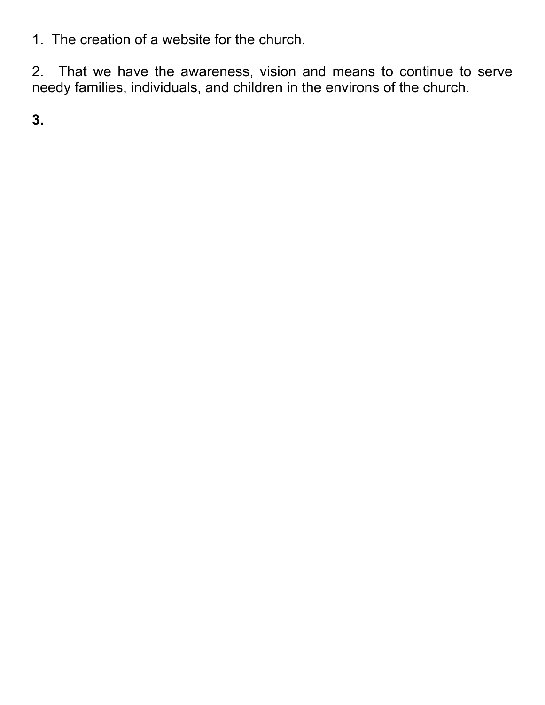1. The creation of a website for the church.

2. That we have the awareness, vision and means to continue to serve needy families, individuals, and children in the environs of the church.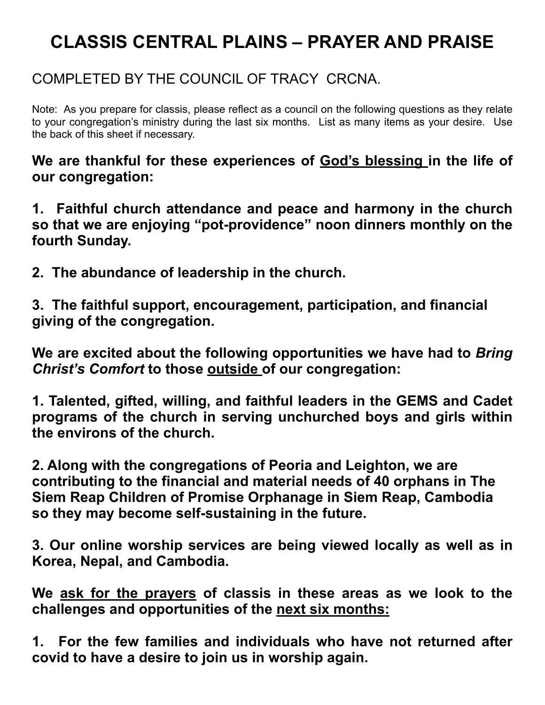### COMPLETED BY THE COUNCIL OF TRACY CRCNA.

Note: As you prepare for classis, please reflect as a council on the following questions as they relate to your congregation's ministry during the last six months. List as many items as your desire. Use the back of this sheet if necessary.

**We are thankful for these experiences of God's blessing in the life of our congregation:** 

**1. Faithful church attendance and peace and harmony in the church so that we are enjoying "pot-providence" noon dinners monthly on the fourth Sunday.** 

**2. The abundance of leadership in the church.** 

**3. The faithful support, encouragement, participation, and financial giving of the congregation.** 

**We are excited about the following opportunities we have had to** *Bring Christ's Comfort* **to those outside of our congregation:** 

**1. Talented, gifted, willing, and faithful leaders in the GEMS and Cadet programs of the church in serving unchurched boys and girls within the environs of the church.** 

**2. Along with the congregations of Peoria and Leighton, we are contributing to the financial and material needs of 40 orphans in The Siem Reap Children of Promise Orphanage in Siem Reap, Cambodia so they may become self-sustaining in the future.** 

**3. Our online worship services are being viewed locally as well as in Korea, Nepal, and Cambodia.** 

**We ask for the prayers of classis in these areas as we look to the challenges and opportunities of the next six months:** 

**1. For the few families and individuals who have not returned after covid to have a desire to join us in worship again.**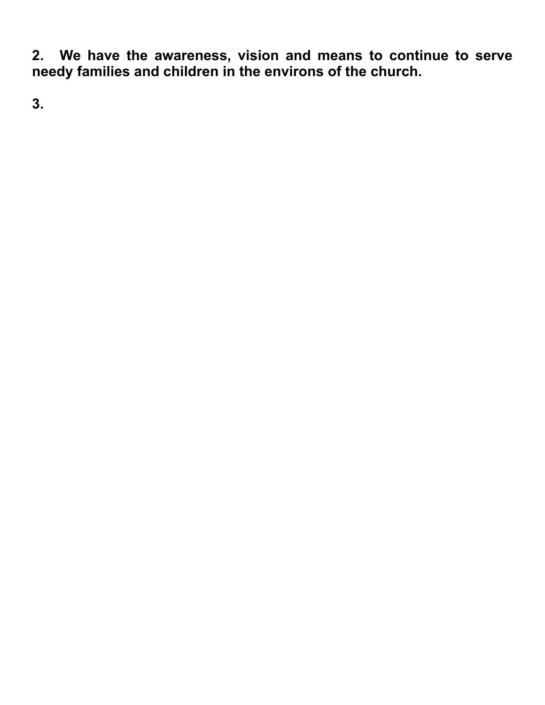**2. We have the awareness, vision and means to continue to serve needy families and children in the environs of the church.**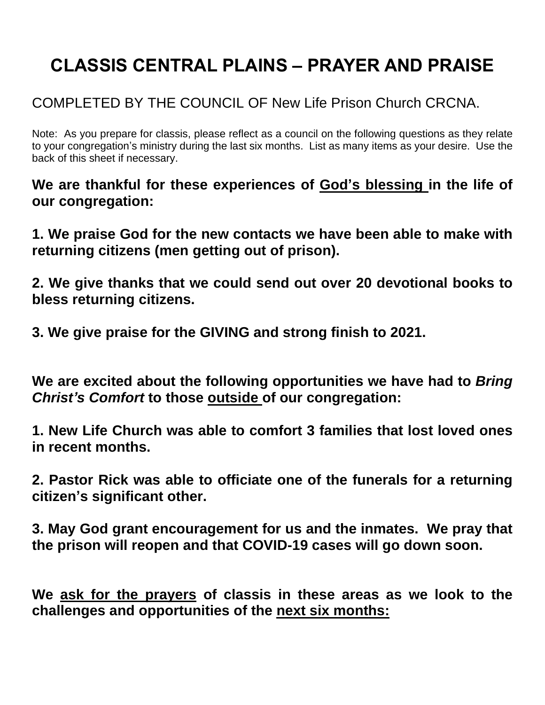### COMPLETED BY THE COUNCIL OF New Life Prison Church CRCNA.

Note: As you prepare for classis, please reflect as a council on the following questions as they relate to your congregation's ministry during the last six months. List as many items as your desire. Use the back of this sheet if necessary.

**We are thankful for these experiences of God's blessing in the life of our congregation:**

**1. We praise God for the new contacts we have been able to make with returning citizens (men getting out of prison).**

**2. We give thanks that we could send out over 20 devotional books to bless returning citizens.**

**3. We give praise for the GIVING and strong finish to 2021.**

**We are excited about the following opportunities we have had to** *Bring Christ's Comfort* **to those outside of our congregation:**

**1. New Life Church was able to comfort 3 families that lost loved ones in recent months.**

**2. Pastor Rick was able to officiate one of the funerals for a returning citizen's significant other.**

**3. May God grant encouragement for us and the inmates. We pray that the prison will reopen and that COVID-19 cases will go down soon.**